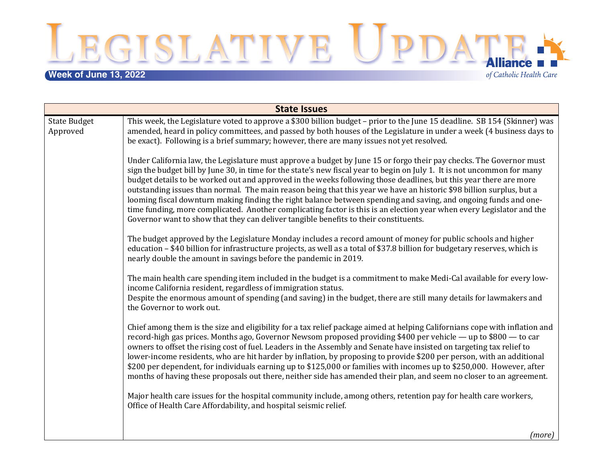**Week of June 13, 2022**<br> **Week of June 13, 2022** 

of Catholic Health Care

| <b>State Issues</b>             |                                                                                                                                                                                                                                                                                                                                                                                                                                                                                                                                                                                                                                                                                                                                                                                                                                   |  |
|---------------------------------|-----------------------------------------------------------------------------------------------------------------------------------------------------------------------------------------------------------------------------------------------------------------------------------------------------------------------------------------------------------------------------------------------------------------------------------------------------------------------------------------------------------------------------------------------------------------------------------------------------------------------------------------------------------------------------------------------------------------------------------------------------------------------------------------------------------------------------------|--|
| <b>State Budget</b><br>Approved | This week, the Legislature voted to approve a \$300 billion budget - prior to the June 15 deadline. SB 154 (Skinner) was<br>amended, heard in policy committees, and passed by both houses of the Legislature in under a week (4 business days to<br>be exact). Following is a brief summary; however, there are many issues not yet resolved.                                                                                                                                                                                                                                                                                                                                                                                                                                                                                    |  |
|                                 | Under California law, the Legislature must approve a budget by June 15 or forgo their pay checks. The Governor must<br>sign the budget bill by June 30, in time for the state's new fiscal year to begin on July 1. It is not uncommon for many<br>budget details to be worked out and approved in the weeks following those deadlines, but this year there are more<br>outstanding issues than normal. The main reason being that this year we have an historic \$98 billion surplus, but a<br>looming fiscal downturn making finding the right balance between spending and saving, and ongoing funds and one-<br>time funding, more complicated. Another complicating factor is this is an election year when every Legislator and the<br>Governor want to show that they can deliver tangible benefits to their constituents. |  |
|                                 | The budget approved by the Legislature Monday includes a record amount of money for public schools and higher<br>education - \$40 billion for infrastructure projects, as well as a total of \$37.8 billion for budgetary reserves, which is<br>nearly double the amount in savings before the pandemic in 2019.                                                                                                                                                                                                                                                                                                                                                                                                                                                                                                                  |  |
|                                 | The main health care spending item included in the budget is a commitment to make Medi-Cal available for every low-<br>income California resident, regardless of immigration status.<br>Despite the enormous amount of spending (and saving) in the budget, there are still many details for lawmakers and<br>the Governor to work out.                                                                                                                                                                                                                                                                                                                                                                                                                                                                                           |  |
|                                 | Chief among them is the size and eligibility for a tax relief package aimed at helping Californians cope with inflation and<br>record-high gas prices. Months ago, Governor Newsom proposed providing \$400 per vehicle - up to \$800 - to car<br>owners to offset the rising cost of fuel. Leaders in the Assembly and Senate have insisted on targeting tax relief to<br>lower-income residents, who are hit harder by inflation, by proposing to provide \$200 per person, with an additional<br>\$200 per dependent, for individuals earning up to \$125,000 or families with incomes up to \$250,000. However, after<br>months of having these proposals out there, neither side has amended their plan, and seem no closer to an agreement.                                                                                 |  |
|                                 | Major health care issues for the hospital community include, among others, retention pay for health care workers,<br>Office of Health Care Affordability, and hospital seismic relief.                                                                                                                                                                                                                                                                                                                                                                                                                                                                                                                                                                                                                                            |  |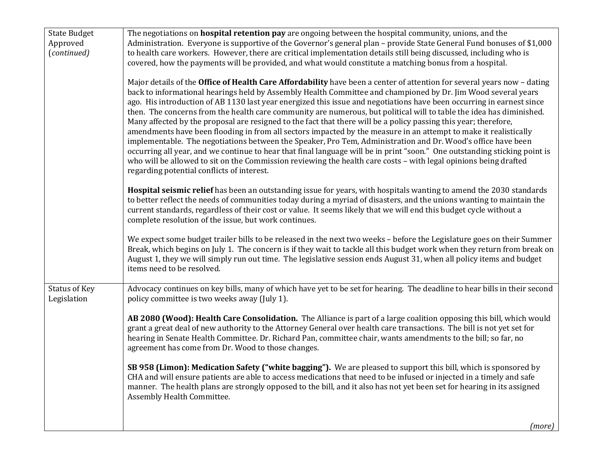| <b>State Budget</b>                 | The negotiations on <b>hospital retention pay</b> are ongoing between the hospital community, unions, and the                                                                                                                                                                                                                                                                                                                                                                                                                                                                                                                                                                                                                                                                                                                                                                                                                                                                                                                                                                                                                                     |
|-------------------------------------|---------------------------------------------------------------------------------------------------------------------------------------------------------------------------------------------------------------------------------------------------------------------------------------------------------------------------------------------------------------------------------------------------------------------------------------------------------------------------------------------------------------------------------------------------------------------------------------------------------------------------------------------------------------------------------------------------------------------------------------------------------------------------------------------------------------------------------------------------------------------------------------------------------------------------------------------------------------------------------------------------------------------------------------------------------------------------------------------------------------------------------------------------|
| Approved                            | Administration. Everyone is supportive of the Governor's general plan - provide State General Fund bonuses of \$1,000                                                                                                                                                                                                                                                                                                                                                                                                                                                                                                                                                                                                                                                                                                                                                                                                                                                                                                                                                                                                                             |
| (continued)                         | to health care workers. However, there are critical implementation details still being discussed, including who is                                                                                                                                                                                                                                                                                                                                                                                                                                                                                                                                                                                                                                                                                                                                                                                                                                                                                                                                                                                                                                |
|                                     | covered, how the payments will be provided, and what would constitute a matching bonus from a hospital.                                                                                                                                                                                                                                                                                                                                                                                                                                                                                                                                                                                                                                                                                                                                                                                                                                                                                                                                                                                                                                           |
|                                     | Major details of the Office of Health Care Affordability have been a center of attention for several years now - dating<br>back to informational hearings held by Assembly Health Committee and championed by Dr. Jim Wood several years<br>ago. His introduction of AB 1130 last year energized this issue and negotiations have been occurring in earnest since<br>then. The concerns from the health care community are numerous, but political will to table the idea has diminished.<br>Many affected by the proposal are resigned to the fact that there will be a policy passing this year; therefore,<br>amendments have been flooding in from all sectors impacted by the measure in an attempt to make it realistically<br>implementable. The negotiations between the Speaker, Pro Tem, Administration and Dr. Wood's office have been<br>occurring all year, and we continue to hear that final language will be in print "soon." One outstanding sticking point is<br>who will be allowed to sit on the Commission reviewing the health care costs - with legal opinions being drafted<br>regarding potential conflicts of interest. |
|                                     | Hospital seismic relief has been an outstanding issue for years, with hospitals wanting to amend the 2030 standards<br>to better reflect the needs of communities today during a myriad of disasters, and the unions wanting to maintain the<br>current standards, regardless of their cost or value. It seems likely that we will end this budget cycle without a<br>complete resolution of the issue, but work continues.                                                                                                                                                                                                                                                                                                                                                                                                                                                                                                                                                                                                                                                                                                                       |
|                                     | We expect some budget trailer bills to be released in the next two weeks - before the Legislature goes on their Summer<br>Break, which begins on July 1. The concern is if they wait to tackle all this budget work when they return from break on<br>August 1, they we will simply run out time. The legislative session ends August 31, when all policy items and budget<br>items need to be resolved.                                                                                                                                                                                                                                                                                                                                                                                                                                                                                                                                                                                                                                                                                                                                          |
| <b>Status of Key</b><br>Legislation | Advocacy continues on key bills, many of which have yet to be set for hearing. The deadline to hear bills in their second<br>policy committee is two weeks away (July 1).                                                                                                                                                                                                                                                                                                                                                                                                                                                                                                                                                                                                                                                                                                                                                                                                                                                                                                                                                                         |
|                                     | AB 2080 (Wood): Health Care Consolidation. The Alliance is part of a large coalition opposing this bill, which would<br>grant a great deal of new authority to the Attorney General over health care transactions. The bill is not yet set for<br>hearing in Senate Health Committee. Dr. Richard Pan, committee chair, wants amendments to the bill; so far, no<br>agreement has come from Dr. Wood to those changes.                                                                                                                                                                                                                                                                                                                                                                                                                                                                                                                                                                                                                                                                                                                            |
|                                     | SB 958 (Limon): Medication Safety ("white bagging"). We are pleased to support this bill, which is sponsored by<br>CHA and will ensure patients are able to access medications that need to be infused or injected in a timely and safe<br>manner. The health plans are strongly opposed to the bill, and it also has not yet been set for hearing in its assigned<br>Assembly Health Committee.                                                                                                                                                                                                                                                                                                                                                                                                                                                                                                                                                                                                                                                                                                                                                  |
|                                     | (more)                                                                                                                                                                                                                                                                                                                                                                                                                                                                                                                                                                                                                                                                                                                                                                                                                                                                                                                                                                                                                                                                                                                                            |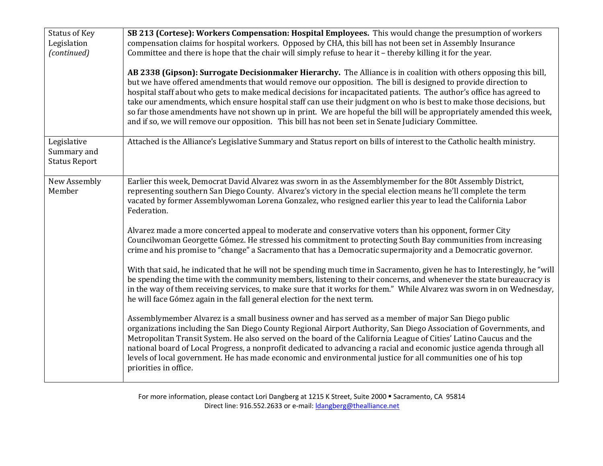| <b>Status of Key</b><br>Legislation<br>(continued) | SB 213 (Cortese): Workers Compensation: Hospital Employees. This would change the presumption of workers<br>compensation claims for hospital workers. Opposed by CHA, this bill has not been set in Assembly Insurance<br>Committee and there is hope that the chair will simply refuse to hear it - thereby killing it for the year.<br>AB 2338 (Gipson): Surrogate Decisionmaker Hierarchy. The Alliance is in coalition with others opposing this bill,<br>but we have offered amendments that would remove our opposition. The bill is designed to provide direction to<br>hospital staff about who gets to make medical decisions for incapacitated patients. The author's office has agreed to<br>take our amendments, which ensure hospital staff can use their judgment on who is best to make those decisions, but<br>so far those amendments have not shown up in print. We are hopeful the bill will be appropriately amended this week,<br>and if so, we will remove our opposition. This bill has not been set in Senate Judiciary Committee.                              |
|----------------------------------------------------|-----------------------------------------------------------------------------------------------------------------------------------------------------------------------------------------------------------------------------------------------------------------------------------------------------------------------------------------------------------------------------------------------------------------------------------------------------------------------------------------------------------------------------------------------------------------------------------------------------------------------------------------------------------------------------------------------------------------------------------------------------------------------------------------------------------------------------------------------------------------------------------------------------------------------------------------------------------------------------------------------------------------------------------------------------------------------------------------|
| Legislative<br>Summary and<br><b>Status Report</b> | Attached is the Alliance's Legislative Summary and Status report on bills of interest to the Catholic health ministry.                                                                                                                                                                                                                                                                                                                                                                                                                                                                                                                                                                                                                                                                                                                                                                                                                                                                                                                                                                  |
| New Assembly<br>Member                             | Earlier this week, Democrat David Alvarez was sworn in as the Assemblymember for the 80t Assembly District,<br>representing southern San Diego County. Alvarez's victory in the special election means he'll complete the term<br>vacated by former Assemblywoman Lorena Gonzalez, who resigned earlier this year to lead the California Labor<br>Federation.<br>Alvarez made a more concerted appeal to moderate and conservative voters than his opponent, former City<br>Councilwoman Georgette Gómez. He stressed his commitment to protecting South Bay communities from increasing<br>crime and his promise to "change" a Sacramento that has a Democratic supermajority and a Democratic governor.<br>With that said, he indicated that he will not be spending much time in Sacramento, given he has to Interestingly, he "will<br>be spending the time with the community members, listening to their concerns, and whenever the state bureaucracy is<br>in the way of them receiving services, to make sure that it works for them." While Alvarez was sworn in on Wednesday, |
|                                                    | he will face Gómez again in the fall general election for the next term.<br>Assemblymember Alvarez is a small business owner and has served as a member of major San Diego public<br>organizations including the San Diego County Regional Airport Authority, San Diego Association of Governments, and<br>Metropolitan Transit System. He also served on the board of the California League of Cities' Latino Caucus and the<br>national board of Local Progress, a nonprofit dedicated to advancing a racial and economic justice agenda through all<br>levels of local government. He has made economic and environmental justice for all communities one of his top<br>priorities in office.                                                                                                                                                                                                                                                                                                                                                                                        |

For more information, please contact Lori Dangberg at 1215 K Street, Suite 2000 · Sacramento, CA 95814 Direct line: 916.552.2633 or e-mail: *dangberg@thealliance.net*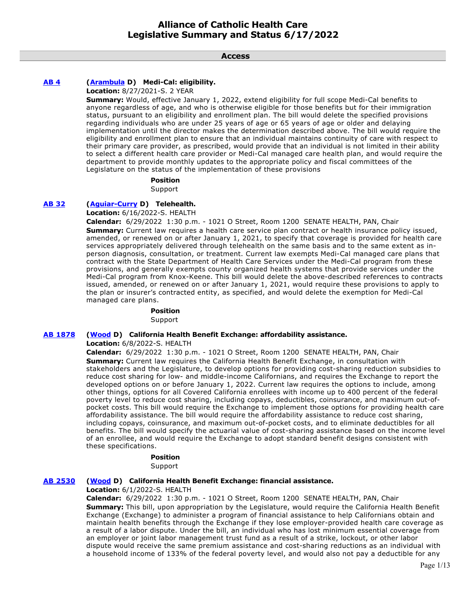**Access**

# **[AB 4](https://ctweb.capitoltrack.com/public/publishbillinfo.aspx?bi=KFYvdnrQA6jwmrfrltwrGrrFnSkRokeQ%2FM0ZywFJQAneFJv%2BL9bnd1kPGDvpRuAa) [\(Arambula](https://a31.asmdc.org/) D) Medi-Cal: eligibility.**

**Location:** 8/27/2021-S. 2 YEAR

**Summary:** Would, effective January 1, 2022, extend eligibility for full scope Medi-Cal benefits to anyone regardless of age, and who is otherwise eligible for those benefits but for their immigration status, pursuant to an eligibility and enrollment plan. The bill would delete the specified provisions regarding individuals who are under 25 years of age or 65 years of age or older and delaying implementation until the director makes the determination described above. The bill would require the eligibility and enrollment plan to ensure that an individual maintains continuity of care with respect to their primary care provider, as prescribed, would provide that an individual is not limited in their ability to select a different health care provider or Medi-Cal managed care health plan, and would require the department to provide monthly updates to the appropriate policy and fiscal committees of the Legislature on the status of the implementation of these provisions

#### **Position**

Support

# **[AB 32](https://ctweb.capitoltrack.com/public/publishbillinfo.aspx?bi=0t9Iy%2FDTsh3uhPPaP7nN4QGwXxcrKJaSU%2FCFlMIgdjHlVpWBWWvl7svuvkAHFERM) [\(Aguiar-Curry](https://a04.asmdc.org/) D) Telehealth.**

**Location:** 6/16/2022-S. HEALTH

**Calendar:** 6/29/2022 1:30 p.m. - 1021 O Street, Room 1200 SENATE HEALTH, PAN, Chair **Summary:** Current law requires a health care service plan contract or health insurance policy issued, amended, or renewed on or after January 1, 2021, to specify that coverage is provided for health care services appropriately delivered through telehealth on the same basis and to the same extent as inperson diagnosis, consultation, or treatment. Current law exempts Medi-Cal managed care plans that contract with the State Department of Health Care Services under the Medi-Cal program from these provisions, and generally exempts county organized health systems that provide services under the Medi-Cal program from Knox-Keene. This bill would delete the above-described references to contracts issued, amended, or renewed on or after January 1, 2021, would require these provisions to apply to the plan or insurer's contracted entity, as specified, and would delete the exemption for Medi-Cal managed care plans.

# **Position**

**Support** 

# **[AB 1878](https://ctweb.capitoltrack.com/public/publishbillinfo.aspx?bi=GAMwRI5IoJT9WrHL5n%2Bkp8Pl3Ngx9zMETe4nirjfzmmf5Z9HlGltw8x1zpAGdnog) [\(Wood](https://a02.asmdc.org/) D) California Health Benefit Exchange: affordability assistance.**

**Location:** 6/8/2022-S. HEALTH

**Calendar:** 6/29/2022 1:30 p.m. - 1021 O Street, Room 1200 SENATE HEALTH, PAN, Chair **Summary:** Current law requires the California Health Benefit Exchange, in consultation with stakeholders and the Legislature, to develop options for providing cost-sharing reduction subsidies to reduce cost sharing for low- and middle-income Californians, and requires the Exchange to report the developed options on or before January 1, 2022. Current law requires the options to include, among other things, options for all Covered California enrollees with income up to 400 percent of the federal poverty level to reduce cost sharing, including copays, deductibles, coinsurance, and maximum out-ofpocket costs. This bill would require the Exchange to implement those options for providing health care affordability assistance. The bill would require the affordability assistance to reduce cost sharing, including copays, coinsurance, and maximum out-of-pocket costs, and to eliminate deductibles for all benefits. The bill would specify the actuarial value of cost-sharing assistance based on the income level of an enrollee, and would require the Exchange to adopt standard benefit designs consistent with these specifications.

### **Position**

Support

### **[AB 2530](https://ctweb.capitoltrack.com/public/publishbillinfo.aspx?bi=VZsIuBPqenTBa%2FAc3wVOCMIwATlWsmbaNDO%2FSiWq%2FJG9imXKa8XljxIk1SGFNkvV) [\(Wood](https://a02.asmdc.org/) D) California Health Benefit Exchange: financial assistance.**

### **Location:** 6/1/2022-S. HEALTH

**Calendar:** 6/29/2022 1:30 p.m. - 1021 O Street, Room 1200 SENATE HEALTH, PAN, Chair **Summary:** This bill, upon appropriation by the Legislature, would require the California Health Benefit Exchange (Exchange) to administer a program of financial assistance to help Californians obtain and maintain health benefits through the Exchange if they lose employer-provided health care coverage as a result of a labor dispute. Under the bill, an individual who has lost minimum essential coverage from an employer or joint labor management trust fund as a result of a strike, lockout, or other labor dispute would receive the same premium assistance and cost-sharing reductions as an individual with a household income of 133% of the federal poverty level, and would also not pay a deductible for any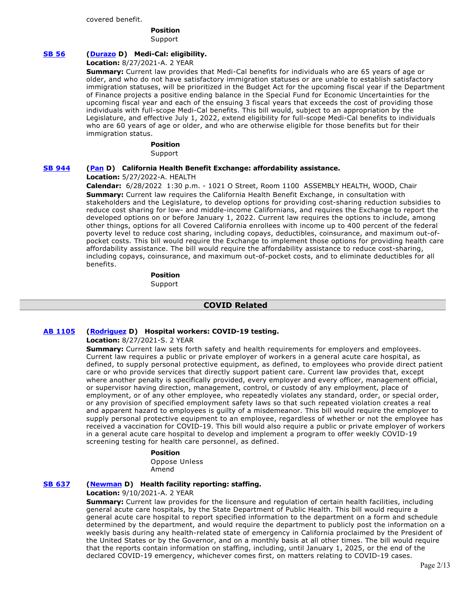#### covered benefit.

# **Position**

Support

# **[SB 56](https://ctweb.capitoltrack.com/public/publishbillinfo.aspx?bi=IHVUG%2FNRNIfXwOxiI9YqyDGCwMPVuHR9m0HdI%2BzVhapXlwnjfJdZucyWxXUdHS%2Fj) [\(Durazo](http://sd24.senate.ca.gov/) D) Medi-Cal: eligibility.**

#### **Location:** 8/27/2021-A. 2 YEAR

**Summary:** Current law provides that Medi-Cal benefits for individuals who are 65 years of age or older, and who do not have satisfactory immigration statuses or are unable to establish satisfactory immigration statuses, will be prioritized in the Budget Act for the upcoming fiscal year if the Department of Finance projects a positive ending balance in the Special Fund for Economic Uncertainties for the upcoming fiscal year and each of the ensuing 3 fiscal years that exceeds the cost of providing those individuals with full-scope Medi-Cal benefits. This bill would, subject to an appropriation by the Legislature, and effective July 1, 2022, extend eligibility for full-scope Medi-Cal benefits to individuals who are 60 years of age or older, and who are otherwise eligible for those benefits but for their immigration status.

#### **Position**

Support

### **[SB 944](https://ctweb.capitoltrack.com/public/publishbillinfo.aspx?bi=%2FzsZ5QTVs4wbwvbps%2Bp9YvPLd%2FwNRw0N4vUPcLf3yiJKWQ2NrzEMrMKckOYf9OuF) [\(Pan](http://sd06.senate.ca.gov/) D) California Health Benefit Exchange: affordability assistance.**

# **Location:** 5/27/2022-A. HEALTH

**Calendar:** 6/28/2022 1:30 p.m. - 1021 O Street, Room 1100 ASSEMBLY HEALTH, WOOD, Chair **Summary:** Current law requires the California Health Benefit Exchange, in consultation with stakeholders and the Legislature, to develop options for providing cost-sharing reduction subsidies to reduce cost sharing for low- and middle-income Californians, and requires the Exchange to report the developed options on or before January 1, 2022. Current law requires the options to include, among other things, options for all Covered California enrollees with income up to 400 percent of the federal poverty level to reduce cost sharing, including copays, deductibles, coinsurance, and maximum out-ofpocket costs. This bill would require the Exchange to implement those options for providing health care affordability assistance. The bill would require the affordability assistance to reduce cost-sharing, including copays, coinsurance, and maximum out-of-pocket costs, and to eliminate deductibles for all benefits.

> **Position**  Support

### **COVID Related**

### **[AB 1105](https://ctweb.capitoltrack.com/public/publishbillinfo.aspx?bi=hiMHI%2FFzRHqLRQcFntn%2B%2FNvArtAVnjMKOUrA1hSavVJ64vRkYFefMgHJl1S1m5oV) [\(Rodriguez](https://a52.asmdc.org/) D) Hospital workers: COVID-19 testing.**

### **Location:** 8/27/2021-S. 2 YEAR

**Summary:** Current law sets forth safety and health requirements for employers and employees. Current law requires a public or private employer of workers in a general acute care hospital, as defined, to supply personal protective equipment, as defined, to employees who provide direct patient care or who provide services that directly support patient care. Current law provides that, except where another penalty is specifically provided, every employer and every officer, management official, or supervisor having direction, management, control, or custody of any employment, place of employment, or of any other employee, who repeatedly violates any standard, order, or special order, or any provision of specified employment safety laws so that such repeated violation creates a real and apparent hazard to employees is guilty of a misdemeanor. This bill would require the employer to supply personal protective equipment to an employee, regardless of whether or not the employee has received a vaccination for COVID-19. This bill would also require a public or private employer of workers in a general acute care hospital to develop and implement a program to offer weekly COVID-19 screening testing for health care personnel, as defined.

# **Position**

Oppose Unless Amend

### **[SB 637](https://ctweb.capitoltrack.com/public/publishbillinfo.aspx?bi=jty8Oh9%2FB4LwUwfxVBDg2GE8TVcQ8Dq2QDUBofHA3ZtTvmLyiZ6pbei5GkqYnutQ) [\(Newman](https://sd29.senate.ca.gov/) D) Health facility reporting: staffing.**

#### **Location:** 9/10/2021-A. 2 YEAR

**Summary:** Current law provides for the licensure and regulation of certain health facilities, including general acute care hospitals, by the State Department of Public Health. This bill would require a general acute care hospital to report specified information to the department on a form and schedule determined by the department, and would require the department to publicly post the information on a weekly basis during any health-related state of emergency in California proclaimed by the President of the United States or by the Governor, and on a monthly basis at all other times. The bill would require that the reports contain information on staffing, including, until January 1, 2025, or the end of the declared COVID-19 emergency, whichever comes first, on matters relating to COVID-19 cases.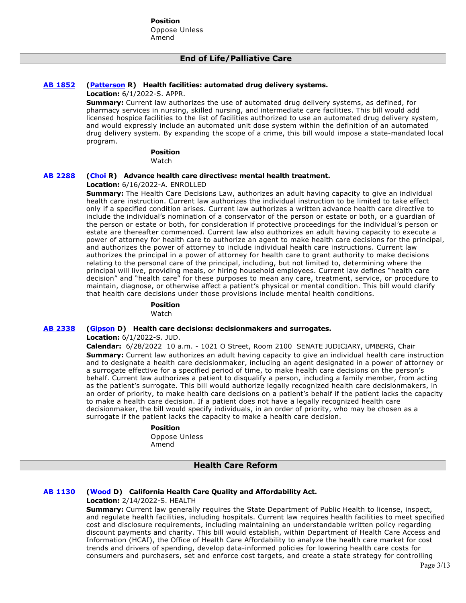# **End of Life/Palliative Care**

### **[AB 1852](https://ctweb.capitoltrack.com/public/publishbillinfo.aspx?bi=qualm%2FeNgpyo4JVNTWrO8T9CvcoE02PfTRNruTZu1vEziksjmt5ztJjoFdLRH3zD) [\(Patterson](https://ad23.asmrc.org/) R) Health facilities: automated drug delivery systems.**

**Location:** 6/1/2022-S. APPR.

**Summary:** Current law authorizes the use of automated drug delivery systems, as defined, for pharmacy services in nursing, skilled nursing, and intermediate care facilities. This bill would add licensed hospice facilities to the list of facilities authorized to use an automated drug delivery system, and would expressly include an automated unit dose system within the definition of an automated drug delivery system. By expanding the scope of a crime, this bill would impose a state-mandated local program.

#### **Position**

Watch

#### **[AB 2288](https://ctweb.capitoltrack.com/public/publishbillinfo.aspx?bi=8c%2FVel10Jx83p5eIMZPHKV8DGDS1Sz6uWw6AVtQYGCxcUPvvWBLXATEKpde3pwAP) [\(Choi](https://ad68.asmrc.org/) R) Advance health care directives: mental health treatment.**

#### **Location:** 6/16/2022-A. ENROLLED

**Summary:** The Health Care Decisions Law, authorizes an adult having capacity to give an individual health care instruction. Current law authorizes the individual instruction to be limited to take effect only if a specified condition arises. Current law authorizes a written advance health care directive to include the individual's nomination of a conservator of the person or estate or both, or a guardian of the person or estate or both, for consideration if protective proceedings for the individual's person or estate are thereafter commenced. Current law also authorizes an adult having capacity to execute a power of attorney for health care to authorize an agent to make health care decisions for the principal, and authorizes the power of attorney to include individual health care instructions. Current law authorizes the principal in a power of attorney for health care to grant authority to make decisions relating to the personal care of the principal, including, but not limited to, determining where the principal will live, providing meals, or hiring household employees. Current law defines "health care decision" and "health care" for these purposes to mean any care, treatment, service, or procedure to maintain, diagnose, or otherwise affect a patient's physical or mental condition. This bill would clarify that health care decisions under those provisions include mental health conditions.

#### **Position**

Watch

#### **[AB 2338](https://ctweb.capitoltrack.com/public/publishbillinfo.aspx?bi=Ub8m8V4g1oocGgpChFB9sihH%2FmaIwllM7ISC2afdUyBBvuf4PvZaAQlpFci1laP1) [\(Gipson](https://a64.asmdc.org/) D) Health care decisions: decisionmakers and surrogates.**

**Location:** 6/1/2022-S. JUD.

**Calendar:** 6/28/2022 10 a.m. - 1021 O Street, Room 2100 SENATE JUDICIARY, UMBERG, Chair **Summary:** Current law authorizes an adult having capacity to give an individual health care instruction and to designate a health care decisionmaker, including an agent designated in a power of attorney or a surrogate effective for a specified period of time, to make health care decisions on the person's behalf. Current law authorizes a patient to disqualify a person, including a family member, from acting as the patient's surrogate. This bill would authorize legally recognized health care decisionmakers, in an order of priority, to make health care decisions on a patient's behalf if the patient lacks the capacity to make a health care decision. If a patient does not have a legally recognized health care decisionmaker, the bill would specify individuals, in an order of priority, who may be chosen as a surrogate if the patient lacks the capacity to make a health care decision.

#### **Position**

Oppose Unless Amend

### **Health Care Reform**

### **[AB 1130](https://ctweb.capitoltrack.com/public/publishbillinfo.aspx?bi=%2F4z9i3w3Ci6H9IC%2FhaF12B%2FZNVr8Dnz3doTjoBJ49C99Q647aqTNngzgXS1VHZrx) [\(Wood](https://a02.asmdc.org/) D) California Health Care Quality and Affordability Act.**

### **Location:** 2/14/2022-S. HEALTH

**Summary:** Current law generally requires the State Department of Public Health to license, inspect, and regulate health facilities, including hospitals. Current law requires health facilities to meet specified cost and disclosure requirements, including maintaining an understandable written policy regarding discount payments and charity. This bill would establish, within Department of Health Care Access and Information (HCAI), the Office of Health Care Affordability to analyze the health care market for cost trends and drivers of spending, develop data-informed policies for lowering health care costs for consumers and purchasers, set and enforce cost targets, and create a state strategy for controlling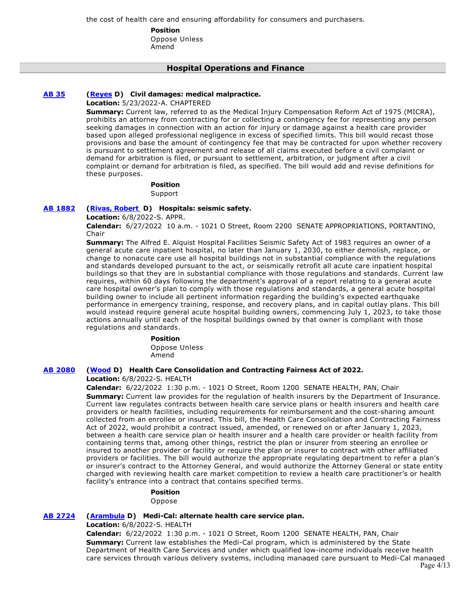the cost of health care and ensuring affordability for consumers and purchasers.

**Position** 

Oppose Unless Amend

# **Hospital Operations and Finance**

# **[AB 35](https://ctweb.capitoltrack.com/public/publishbillinfo.aspx?bi=7Y0gKL9VlIU7ThSmQw%2FYv1jbhBJT%2FD8SYj2%2F91VOlPOLXgPlhuYR%2ByClgxoYCP8R) [\(Reyes](https://a47.asmdc.org/) D) Civil damages: medical malpractice.**

**Location:** 5/23/2022-A. CHAPTERED

**Summary:** Current law, referred to as the Medical Injury Compensation Reform Act of 1975 (MICRA), prohibits an attorney from contracting for or collecting a contingency fee for representing any person seeking damages in connection with an action for injury or damage against a health care provider based upon alleged professional negligence in excess of specified limits. This bill would recast those provisions and base the amount of contingency fee that may be contracted for upon whether recovery is pursuant to settlement agreement and release of all claims executed before a civil complaint or demand for arbitration is filed, or pursuant to settlement, arbitration, or judgment after a civil complaint or demand for arbitration is filed, as specified. The bill would add and revise definitions for these purposes.

# **Position**

Support

# **[AB 1882](https://ctweb.capitoltrack.com/public/publishbillinfo.aspx?bi=VPXAvDj9pG%2FqwduV4rLG761q0j5l7nLqcVa9%2FuXBzFKRhN9Jnm5qbtXyicq%2B7zSQ) [\(Rivas, Robert](https://a30.asmdc.org/)  D) Hospitals: seismic safety.**

**Location:** 6/8/2022-S. APPR.

**Calendar:** 6/27/2022 10 a.m. - 1021 O Street, Room 2200 SENATE APPROPRIATIONS, PORTANTINO, Chair

**Summary:** The Alfred E. Alquist Hospital Facilities Seismic Safety Act of 1983 requires an owner of a general acute care inpatient hospital, no later than January 1, 2030, to either demolish, replace, or change to nonacute care use all hospital buildings not in substantial compliance with the regulations and standards developed pursuant to the act, or seismically retrofit all acute care inpatient hospital buildings so that they are in substantial compliance with those regulations and standards. Current law requires, within 60 days following the department's approval of a report relating to a general acute care hospital owner's plan to comply with those regulations and standards, a general acute hospital building owner to include all pertinent information regarding the building's expected earthquake performance in emergency training, response, and recovery plans, and in capital outlay plans. This bill would instead require general acute hospital building owners, commencing July 1, 2023, to take those actions annually until each of the hospital buildings owned by that owner is compliant with those regulations and standards.

### **Position**

Oppose Unless Amend

### **[AB 2080](https://ctweb.capitoltrack.com/public/publishbillinfo.aspx?bi=BrMjSa%2Fp%2B1el0x0mo99xnVN%2F4Zn67hWfXnFDoLyihAQ6jctZGFDaEIKaaRhMBJoG) [\(Wood](https://a02.asmdc.org/) D) Health Care Consolidation and Contracting Fairness Act of 2022.**

**Location:** 6/8/2022-S. HEALTH

**Calendar:** 6/22/2022 1:30 p.m. - 1021 O Street, Room 1200 SENATE HEALTH, PAN, Chair **Summary:** Current law provides for the regulation of health insurers by the Department of Insurance. Current law regulates contracts between health care service plans or health insurers and health care providers or health facilities, including requirements for reimbursement and the cost-sharing amount collected from an enrollee or insured. This bill, the Health Care Consolidation and Contracting Fairness Act of 2022, would prohibit a contract issued, amended, or renewed on or after January 1, 2023, between a health care service plan or health insurer and a health care provider or health facility from containing terms that, among other things, restrict the plan or insurer from steering an enrollee or insured to another provider or facility or require the plan or insurer to contract with other affiliated providers or facilities. The bill would authorize the appropriate regulating department to refer a plan's or insurer's contract to the Attorney General, and would authorize the Attorney General or state entity charged with reviewing health care market competition to review a health care practitioner's or health facility's entrance into a contract that contains specified terms.

#### **Position**

Oppose

# **[AB 2724](https://ctweb.capitoltrack.com/public/publishbillinfo.aspx?bi=87zZT%2BgcOhFNBkX00iCCDlRJesDpMdThi05DVxph1WMjt4wiQHTVchVtgdOI00s5) [\(Arambula](https://a31.asmdc.org/) D) Medi-Cal: alternate health care service plan.**

**Location:** 6/8/2022-S. HEALTH

**Calendar:** 6/22/2022 1:30 p.m. - 1021 O Street, Room 1200 SENATE HEALTH, PAN, Chair **Summary:** Current law establishes the Medi-Cal program, which is administered by the State Department of Health Care Services and under which qualified low-income individuals receive health care services through various delivery systems, including managed care pursuant to Medi-Cal managed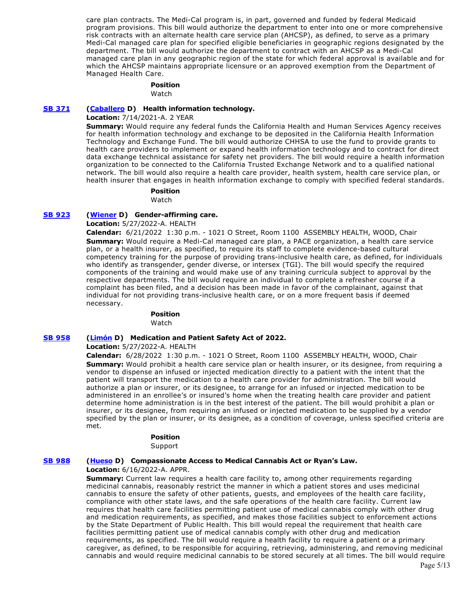care plan contracts. The Medi-Cal program is, in part, governed and funded by federal Medicaid program provisions. This bill would authorize the department to enter into one or more comprehensive risk contracts with an alternate health care service plan (AHCSP), as defined, to serve as a primary Medi-Cal managed care plan for specified eligible beneficiaries in geographic regions designated by the department. The bill would authorize the department to contract with an AHCSP as a Medi-Cal managed care plan in any geographic region of the state for which federal approval is available and for which the AHCSP maintains appropriate licensure or an approved exemption from the Department of Managed Health Care.

#### **Position**  Watch

### **[SB 371](https://ctweb.capitoltrack.com/public/publishbillinfo.aspx?bi=FKwFW94dXa0YDM7%2FpE%2Fd%2FQvILqz%2BYUfpxz%2FPoEZWfSJmws%2Fn2%2F58%2B%2BM0%2BQkCCvcS) [\(Caballero](https://sd12.senate.ca.gov/) D) Health information technology.**

**Location:** 7/14/2021-A. 2 YEAR

**Summary:** Would require any federal funds the California Health and Human Services Agency receives for health information technology and exchange to be deposited in the California Health Information Technology and Exchange Fund. The bill would authorize CHHSA to use the fund to provide grants to health care providers to implement or expand health information technology and to contract for direct data exchange technical assistance for safety net providers. The bill would require a health information organization to be connected to the California Trusted Exchange Network and to a qualified national network. The bill would also require a health care provider, health system, health care service plan, or health insurer that engages in health information exchange to comply with specified federal standards.

# **Position**

Watch

#### **[SB 923](https://ctweb.capitoltrack.com/public/publishbillinfo.aspx?bi=39pazsEbiOuX5VLjSaWCmTpAMGWuE9SkxQBy5CHsmAeEKA46%2B7M3zeKfcJ1Ac4e6) [\(Wiener](http://sd11.senate.ca.gov/) D) Gender-affirming care.**

**Location:** 5/27/2022-A. HEALTH

**Calendar:** 6/21/2022 1:30 p.m. - 1021 O Street, Room 1100 ASSEMBLY HEALTH, WOOD, Chair **Summary:** Would require a Medi-Cal managed care plan, a PACE organization, a health care service plan, or a health insurer, as specified, to require its staff to complete evidence-based cultural competency training for the purpose of providing trans-inclusive health care, as defined, for individuals who identify as transgender, gender diverse, or intersex (TGI). The bill would specify the required components of the training and would make use of any training curricula subject to approval by the respective departments. The bill would require an individual to complete a refresher course if a complaint has been filed, and a decision has been made in favor of the complainant, against that individual for not providing trans-inclusive health care, or on a more frequent basis if deemed necessary.

# **Position**

Watch

#### **[SB 958](https://ctweb.capitoltrack.com/public/publishbillinfo.aspx?bi=TmxQzrW7K42F5U7topB%2Fsd6BFt9G9v5WzRLRsZkfrXtFhSBM%2BYWUSmRBcBAbfmA2) [\(Limón](http://sd19.senate.ca.gov/) D) Medication and Patient Safety Act of 2022.**

**Location:** 5/27/2022-A. HEALTH

**Calendar:** 6/28/2022 1:30 p.m. - 1021 O Street, Room 1100 ASSEMBLY HEALTH, WOOD, Chair **Summary:** Would prohibit a health care service plan or health insurer, or its designee, from requiring a vendor to dispense an infused or injected medication directly to a patient with the intent that the patient will transport the medication to a health care provider for administration. The bill would authorize a plan or insurer, or its designee, to arrange for an infused or injected medication to be administered in an enrollee's or insured's home when the treating health care provider and patient determine home administration is in the best interest of the patient. The bill would prohibit a plan or insurer, or its designee, from requiring an infused or injected medication to be supplied by a vendor specified by the plan or insurer, or its designee, as a condition of coverage, unless specified criteria are met.

#### **Position**

Support

#### **[SB 988](https://ctweb.capitoltrack.com/public/publishbillinfo.aspx?bi=F7CG%2BT%2BNdNyOJ507U6RjjvW7rDsASagLmcuZ64LyFVUAHXbTn9BlVmjyYTgF1QL6) [\(Hueso](http://sd40.senate.ca.gov/) D) Compassionate Access to Medical Cannabis Act or Ryan's Law.**

**Location:** 6/16/2022-A. APPR.

**Summary:** Current law requires a health care facility to, among other requirements regarding medicinal cannabis, reasonably restrict the manner in which a patient stores and uses medicinal cannabis to ensure the safety of other patients, guests, and employees of the health care facility, compliance with other state laws, and the safe operations of the health care facility. Current law requires that health care facilities permitting patient use of medical cannabis comply with other drug and medication requirements, as specified, and makes those facilities subject to enforcement actions by the State Department of Public Health. This bill would repeal the requirement that health care facilities permitting patient use of medical cannabis comply with other drug and medication requirements, as specified. The bill would require a health facility to require a patient or a primary caregiver, as defined, to be responsible for acquiring, retrieving, administering, and removing medicinal cannabis and would require medicinal cannabis to be stored securely at all times. The bill would require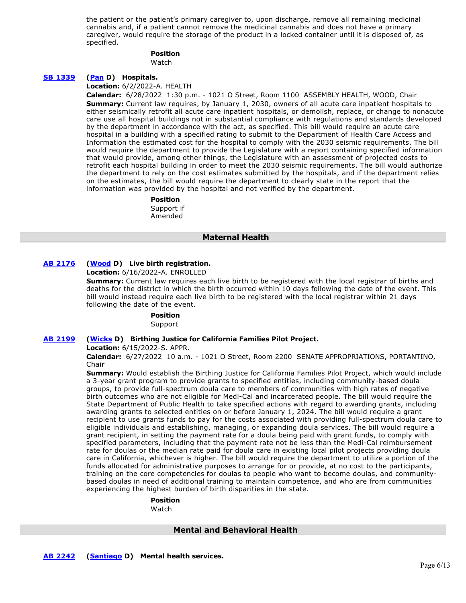the patient or the patient's primary caregiver to, upon discharge, remove all remaining medicinal cannabis and, if a patient cannot remove the medicinal cannabis and does not have a primary caregiver, would require the storage of the product in a locked container until it is disposed of, as specified.

#### **Position**

Watch

#### **[SB 1339](https://ctweb.capitoltrack.com/public/publishbillinfo.aspx?bi=M4%2FWAIBkDIxPIq%2B4Pg%2BH9mCLP0SUdmtN3OsXIg1YITaIdGmpiRHbPWtnSe35fDxi) [\(Pan](http://sd06.senate.ca.gov/) D) Hospitals.**

**Location:** 6/2/2022-A. HEALTH

**Calendar:** 6/28/2022 1:30 p.m. - 1021 O Street, Room 1100 ASSEMBLY HEALTH, WOOD, Chair **Summary:** Current law requires, by January 1, 2030, owners of all acute care inpatient hospitals to either seismically retrofit all acute care inpatient hospitals, or demolish, replace, or change to nonacute care use all hospital buildings not in substantial compliance with regulations and standards developed by the department in accordance with the act, as specified. This bill would require an acute care hospital in a building with a specified rating to submit to the Department of Health Care Access and Information the estimated cost for the hospital to comply with the 2030 seismic requirements. The bill would require the department to provide the Legislature with a report containing specified information that would provide, among other things, the Legislature with an assessment of projected costs to retrofit each hospital building in order to meet the 2030 seismic requirements. The bill would authorize the department to rely on the cost estimates submitted by the hospitals, and if the department relies on the estimates, the bill would require the department to clearly state in the report that the information was provided by the hospital and not verified by the department.

# **Position**

Support if Amended

#### **Maternal Health**

# **[AB 2176](https://ctweb.capitoltrack.com/public/publishbillinfo.aspx?bi=HR5stFFQM15tK2ecm1FQBtQ2R9yfZG%2F%2FxuYPRWUzWzI3lF7e%2FBS%2FdDYhYzD3Z1Jp) [\(Wood](https://a02.asmdc.org/) D) Live birth registration.**

**Location:** 6/16/2022-A. ENROLLED

**Summary:** Current law requires each live birth to be registered with the local registrar of births and deaths for the district in which the birth occurred within 10 days following the date of the event. This bill would instead require each live birth to be registered with the local registrar within 21 days following the date of the event.

# **Position**

Support

# **[AB 2199](https://ctweb.capitoltrack.com/public/publishbillinfo.aspx?bi=B97llTW33MVSMinNtoGET%2Fw1JtFyrvCEcXQnAzzfEb%2B%2BbT%2B%2BVjbwDDHRNwo4DirP) [\(Wicks](https://a15.asmdc.org/) D) Birthing Justice for California Families Pilot Project.**

**Location:** 6/15/2022-S. APPR.

**Calendar:** 6/27/2022 10 a.m. - 1021 O Street, Room 2200 SENATE APPROPRIATIONS, PORTANTINO, Chair

**Summary:** Would establish the Birthing Justice for California Families Pilot Project, which would include a 3-year grant program to provide grants to specified entities, including community-based doula groups, to provide full-spectrum doula care to members of communities with high rates of negative birth outcomes who are not eligible for Medi-Cal and incarcerated people. The bill would require the State Department of Public Health to take specified actions with regard to awarding grants, including awarding grants to selected entities on or before January 1, 2024. The bill would require a grant recipient to use grants funds to pay for the costs associated with providing full-spectrum doula care to eligible individuals and establishing, managing, or expanding doula services. The bill would require a grant recipient, in setting the payment rate for a doula being paid with grant funds, to comply with specified parameters, including that the payment rate not be less than the Medi-Cal reimbursement rate for doulas or the median rate paid for doula care in existing local pilot projects providing doula care in California, whichever is higher. The bill would require the department to utilize a portion of the funds allocated for administrative purposes to arrange for or provide, at no cost to the participants, training on the core competencies for doulas to people who want to become doulas, and communitybased doulas in need of additional training to maintain competence, and who are from communities experiencing the highest burden of birth disparities in the state.

#### **Position**

Watch

# **Mental and Behavioral Health**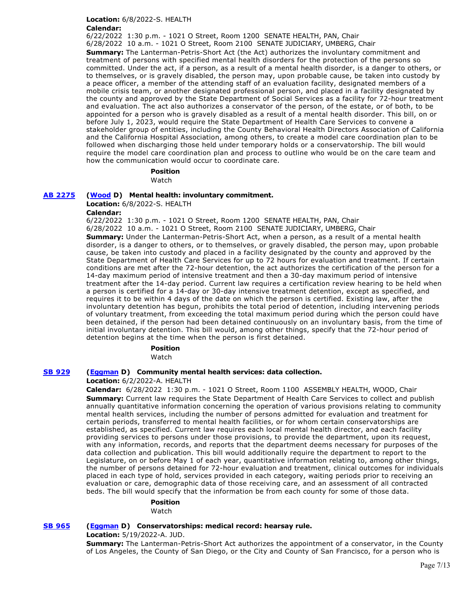# **Location:** 6/8/2022-S. HEALTH

**Calendar:** 

6/22/2022 1:30 p.m. - 1021 O Street, Room 1200 SENATE HEALTH, PAN, Chair 6/28/2022 10 a.m. - 1021 O Street, Room 2100 SENATE JUDICIARY, UMBERG, Chair **Summary:** The Lanterman-Petris-Short Act (the Act) authorizes the involuntary commitment and treatment of persons with specified mental health disorders for the protection of the persons so committed. Under the act, if a person, as a result of a mental health disorder, is a danger to others, or to themselves, or is gravely disabled, the person may, upon probable cause, be taken into custody by a peace officer, a member of the attending staff of an evaluation facility, designated members of a mobile crisis team, or another designated professional person, and placed in a facility designated by the county and approved by the State Department of Social Services as a facility for 72-hour treatment and evaluation. The act also authorizes a conservator of the person, of the estate, or of both, to be appointed for a person who is gravely disabled as a result of a mental health disorder. This bill, on or before July 1, 2023, would require the State Department of Health Care Services to convene a stakeholder group of entities, including the County Behavioral Health Directors Association of California and the California Hospital Association, among others, to create a model care coordination plan to be followed when discharging those held under temporary holds or a conservatorship. The bill would require the model care coordination plan and process to outline who would be on the care team and how the communication would occur to coordinate care.

# **Position**

Watch

# **[AB 2275](https://ctweb.capitoltrack.com/public/publishbillinfo.aspx?bi=6%2B4eC%2F2OHK4kZpkW4rQYXdsRhhq65kyQXKEeISRQgKwMRP5lhgytut8yJKWj%2Bb%2F%2B) [\(Wood](https://a02.asmdc.org/) D) Mental health: involuntary commitment.**

**Location:** 6/8/2022-S. HEALTH

### **Calendar:**

6/22/2022 1:30 p.m. - 1021 O Street, Room 1200 SENATE HEALTH, PAN, Chair 6/28/2022 10 a.m. - 1021 O Street, Room 2100 SENATE JUDICIARY, UMBERG, Chair

**Summary:** Under the Lanterman-Petris-Short Act, when a person, as a result of a mental health disorder, is a danger to others, or to themselves, or gravely disabled, the person may, upon probable cause, be taken into custody and placed in a facility designated by the county and approved by the State Department of Health Care Services for up to 72 hours for evaluation and treatment. If certain conditions are met after the 72-hour detention, the act authorizes the certification of the person for a 14-day maximum period of intensive treatment and then a 30-day maximum period of intensive treatment after the 14-day period. Current law requires a certification review hearing to be held when a person is certified for a 14-day or 30-day intensive treatment detention, except as specified, and requires it to be within 4 days of the date on which the person is certified. Existing law, after the involuntary detention has begun, prohibits the total period of detention, including intervening periods of voluntary treatment, from exceeding the total maximum period during which the person could have been detained, if the person had been detained continuously on an involuntary basis, from the time of initial involuntary detention. This bill would, among other things, specify that the 72-hour period of detention begins at the time when the person is first detained.

**Position** 

Watch

# **[SB 929](https://ctweb.capitoltrack.com/public/publishbillinfo.aspx?bi=K1EgGJfTiuEq7osejnFiAvKE0cv5VAYh3Egp6x3ASrir6ID8%2BVA4DnZaIUHlfT%2Bp) [\(Eggman](http://sd05.senate.ca.gov/) D) Community mental health services: data collection.**

# **Location:** 6/2/2022-A. HEALTH

**Calendar:** 6/28/2022 1:30 p.m. - 1021 O Street, Room 1100 ASSEMBLY HEALTH, WOOD, Chair **Summary:** Current law requires the State Department of Health Care Services to collect and publish annually quantitative information concerning the operation of various provisions relating to community mental health services, including the number of persons admitted for evaluation and treatment for certain periods, transferred to mental health facilities, or for whom certain conservatorships are established, as specified. Current law requires each local mental health director, and each facility providing services to persons under those provisions, to provide the department, upon its request, with any information, records, and reports that the department deems necessary for purposes of the data collection and publication. This bill would additionally require the department to report to the Legislature, on or before May 1 of each year, quantitative information relating to, among other things, the number of persons detained for 72-hour evaluation and treatment, clinical outcomes for individuals placed in each type of hold, services provided in each category, waiting periods prior to receiving an evaluation or care, demographic data of those receiving care, and an assessment of all contracted beds. The bill would specify that the information be from each county for some of those data.

# **Position**

### Watch

# **[SB 965](https://ctweb.capitoltrack.com/public/publishbillinfo.aspx?bi=EcBoEmtCkfUIgWFS60%2BT2jNFPGjQW4TEFSyUZPg5nHkbDrTBqIA0Hg4CBeChnTGO) [\(Eggman](http://sd05.senate.ca.gov/) D) Conservatorships: medical record: hearsay rule.**

**Location:** 5/19/2022-A. JUD.

**Summary:** The Lanterman-Petris-Short Act authorizes the appointment of a conservator, in the County of Los Angeles, the County of San Diego, or the City and County of San Francisco, for a person who is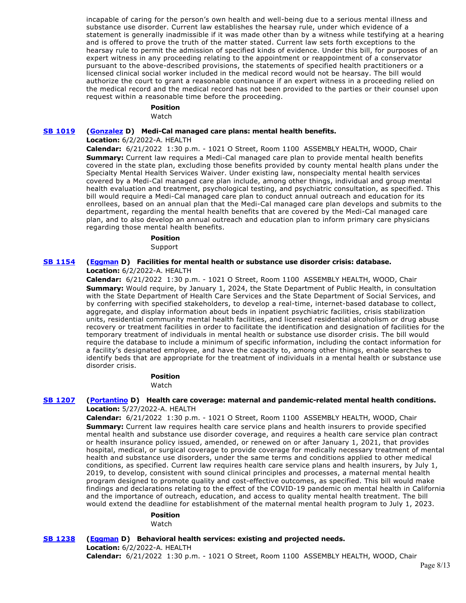incapable of caring for the person's own health and well-being due to a serious mental illness and substance use disorder. Current law establishes the hearsay rule, under which evidence of a statement is generally inadmissible if it was made other than by a witness while testifying at a hearing and is offered to prove the truth of the matter stated. Current law sets forth exceptions to the hearsay rule to permit the admission of specified kinds of evidence. Under this bill, for purposes of an expert witness in any proceeding relating to the appointment or reappointment of a conservator pursuant to the above-described provisions, the statements of specified health practitioners or a licensed clinical social worker included in the medical record would not be hearsay. The bill would authorize the court to grant a reasonable continuance if an expert witness in a proceeding relied on the medical record and the medical record has not been provided to the parties or their counsel upon request within a reasonable time before the proceeding.

# **Position**

Watch

#### **[SB 1019](https://ctweb.capitoltrack.com/public/publishbillinfo.aspx?bi=CB4uoxlx3KlgPDSkItME2Mct4%2BnWQivAzuUEA%2FGtJKGOZVg9zDoiwk%2FgdZsrbHgM) [\(Gonzalez](https://sd33.senate.ca.gov/) D) Medi-Cal managed care plans: mental health benefits.**

#### **Location:** 6/2/2022-A. HEALTH

**Calendar:** 6/21/2022 1:30 p.m. - 1021 O Street, Room 1100 ASSEMBLY HEALTH, WOOD, Chair **Summary:** Current law requires a Medi-Cal managed care plan to provide mental health benefits covered in the state plan, excluding those benefits provided by county mental health plans under the Specialty Mental Health Services Waiver. Under existing law, nonspecialty mental health services covered by a Medi-Cal managed care plan include, among other things, individual and group mental health evaluation and treatment, psychological testing, and psychiatric consultation, as specified. This bill would require a Medi-Cal managed care plan to conduct annual outreach and education for its enrollees, based on an annual plan that the Medi-Cal managed care plan develops and submits to the department, regarding the mental health benefits that are covered by the Medi-Cal managed care plan, and to also develop an annual outreach and education plan to inform primary care physicians regarding those mental health benefits.

# **Position**

Support

#### **[SB 1154](https://ctweb.capitoltrack.com/public/publishbillinfo.aspx?bi=SIKAOyzcp9FkyXJhcMR9GR2Egtn5F2XPT8llha1sFjI3%2Bfiu9BuGN6dHSamI%2BSLc) [\(Eggman](http://sd05.senate.ca.gov/) D) Facilities for mental health or substance use disorder crisis: database. Location:** 6/2/2022-A. HEALTH

**Calendar:** 6/21/2022 1:30 p.m. - 1021 O Street, Room 1100 ASSEMBLY HEALTH, WOOD, Chair **Summary:** Would require, by January 1, 2024, the State Department of Public Health, in consultation with the State Department of Health Care Services and the State Department of Social Services, and by conferring with specified stakeholders, to develop a real-time, internet-based database to collect, aggregate, and display information about beds in inpatient psychiatric facilities, crisis stabilization units, residential community mental health facilities, and licensed residential alcoholism or drug abuse recovery or treatment facilities in order to facilitate the identification and designation of facilities for the temporary treatment of individuals in mental health or substance use disorder crisis. The bill would require the database to include a minimum of specific information, including the contact information for a facility's designated employee, and have the capacity to, among other things, enable searches to identify beds that are appropriate for the treatment of individuals in a mental health or substance use disorder crisis.

# **Position**

Watch

### **[SB 1207](https://ctweb.capitoltrack.com/public/publishbillinfo.aspx?bi=BfIx7qoFszHnGuBPvgrsCNlzVb%2FguaISm4gq8vZJ8vplHToKryThIU6CglO4oR8I) [\(Portantino](http://sd25.senate.ca.gov/) D) Health care coverage: maternal and pandemic-related mental health conditions. Location:** 5/27/2022-A. HEALTH

**Calendar:** 6/21/2022 1:30 p.m. - 1021 O Street, Room 1100 ASSEMBLY HEALTH, WOOD, Chair **Summary:** Current law requires health care service plans and health insurers to provide specified mental health and substance use disorder coverage, and requires a health care service plan contract or health insurance policy issued, amended, or renewed on or after January 1, 2021, that provides hospital, medical, or surgical coverage to provide coverage for medically necessary treatment of mental health and substance use disorders, under the same terms and conditions applied to other medical conditions, as specified. Current law requires health care service plans and health insurers, by July 1, 2019, to develop, consistent with sound clinical principles and processes, a maternal mental health program designed to promote quality and cost-effective outcomes, as specified. This bill would make findings and declarations relating to the effect of the COVID-19 pandemic on mental health in California and the importance of outreach, education, and access to quality mental health treatment. The bill would extend the deadline for establishment of the maternal mental health program to July 1, 2023.

# **Position**

Watch

**[SB 1238](https://ctweb.capitoltrack.com/public/publishbillinfo.aspx?bi=OjZg0htuH1gY6vn7BX7VkAtMWvftGXa2GK50z6GXmrUtrSNlmId1%2BKxskLJFZ7oZ) [\(Eggman](http://sd05.senate.ca.gov/) D) Behavioral health services: existing and projected needs. Location:** 6/2/2022-A. HEALTH

**Calendar:** 6/21/2022 1:30 p.m. - 1021 O Street, Room 1100 ASSEMBLY HEALTH, WOOD, Chair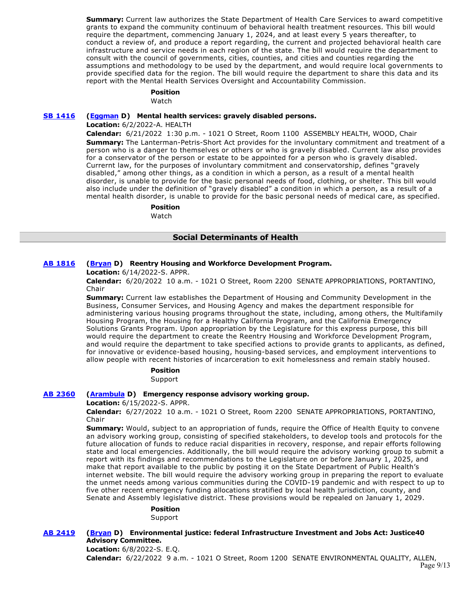**Summary:** Current law authorizes the State Department of Health Care Services to award competitive grants to expand the community continuum of behavioral health treatment resources. This bill would require the department, commencing January 1, 2024, and at least every 5 years thereafter, to conduct a review of, and produce a report regarding, the current and projected behavioral health care infrastructure and service needs in each region of the state. The bill would require the department to consult with the council of governments, cities, counties, and cities and counties regarding the assumptions and methodology to be used by the department, and would require local governments to provide specified data for the region. The bill would require the department to share this data and its report with the Mental Health Services Oversight and Accountability Commission.

# **Position**

Watch

#### **[SB 1416](https://ctweb.capitoltrack.com/public/publishbillinfo.aspx?bi=atB0Mjn90KuhkAkXdfF8eles0MODK3u4xQ6Td6Oxjd07S9uQmq%2Bim17N3qWF7dWJ) [\(Eggman](http://sd05.senate.ca.gov/) D) Mental health services: gravely disabled persons.**

**Location:** 6/2/2022-A. HEALTH

**Calendar:** 6/21/2022 1:30 p.m. - 1021 O Street, Room 1100 ASSEMBLY HEALTH, WOOD, Chair **Summary:** The Lanterman-Petris-Short Act provides for the involuntary commitment and treatment of a person who is a danger to themselves or others or who is gravely disabled. Current law also provides for a conservator of the person or estate to be appointed for a person who is gravely disabled. Currernt law, for the purposes of involuntary commitment and conservatorship, defines "gravely disabled," among other things, as a condition in which a person, as a result of a mental health disorder, is unable to provide for the basic personal needs of food, clothing, or shelter. This bill would also include under the definition of "gravely disabled" a condition in which a person, as a result of a mental health disorder, is unable to provide for the basic personal needs of medical care, as specified.

#### **Position**

Watch

# **Social Determinants of Health**

# **[AB 1816](https://ctweb.capitoltrack.com/public/publishbillinfo.aspx?bi=nj1JgrsBUX9OOgFc3K4Unq73mLnPgMtGuGquJRHskgLLBaAVLMfv2jTQ%2Fem4F3a%2F) [\(Bryan](https://a54.asmdc.org/) D) Reentry Housing and Workforce Development Program.**

**Location:** 6/14/2022-S. APPR.

**Calendar:** 6/20/2022 10 a.m. - 1021 O Street, Room 2200 SENATE APPROPRIATIONS, PORTANTINO, Chair

**Summary:** Current law establishes the Department of Housing and Community Development in the Business, Consumer Services, and Housing Agency and makes the department responsible for administering various housing programs throughout the state, including, among others, the Multifamily Housing Program, the Housing for a Healthy California Program, and the California Emergency Solutions Grants Program. Upon appropriation by the Legislature for this express purpose, this bill would require the department to create the Reentry Housing and Workforce Development Program, and would require the department to take specified actions to provide grants to applicants, as defined, for innovative or evidence-based housing, housing-based services, and employment interventions to allow people with recent histories of incarceration to exit homelessness and remain stably housed.

### **Position**

Support

# **[AB 2360](https://ctweb.capitoltrack.com/public/publishbillinfo.aspx?bi=S4o5WDo9%2B9AfENOBq%2BBIePxxgnNqMH86Fznz%2F0bytCshN%2BV4xg6B4KMdUbdPaY%2B9) [\(Arambula](https://a31.asmdc.org/) D) Emergency response advisory working group.**

**Location:** 6/15/2022-S. APPR.

**Calendar:** 6/27/2022 10 a.m. - 1021 O Street, Room 2200 SENATE APPROPRIATIONS, PORTANTINO, Chair

**Summary:** Would, subject to an appropriation of funds, require the Office of Health Equity to convene an advisory working group, consisting of specified stakeholders, to develop tools and protocols for the future allocation of funds to reduce racial disparities in recovery, response, and repair efforts following state and local emergencies. Additionally, the bill would require the advisory working group to submit a report with its findings and recommendations to the Legislature on or before January 1, 2025, and make that report available to the public by posting it on the State Department of Public Health's internet website. The bill would require the advisory working group in preparing the report to evaluate the unmet needs among various communities during the COVID-19 pandemic and with respect to up to five other recent emergency funding allocations stratified by local health jurisdiction, county, and Senate and Assembly legislative district. These provisions would be repealed on January 1, 2029.

#### **Position**

Support

**[AB 2419](https://ctweb.capitoltrack.com/public/publishbillinfo.aspx?bi=d%2FIMJodVt3odJLOXmQSc%2BEVTDhmiPoBwr0G83HGGuhoBnZ0hFtw64hzmQiFKtZ44) [\(Bryan](https://a54.asmdc.org/) D) Environmental justice: federal Infrastructure Investment and Jobs Act: Justice40 Advisory Committee.**

# **Location:** 6/8/2022-S. E.Q. **Calendar:** 6/22/2022 9 a.m. - 1021 O Street, Room 1200 SENATE ENVIRONMENTAL QUALITY, ALLEN,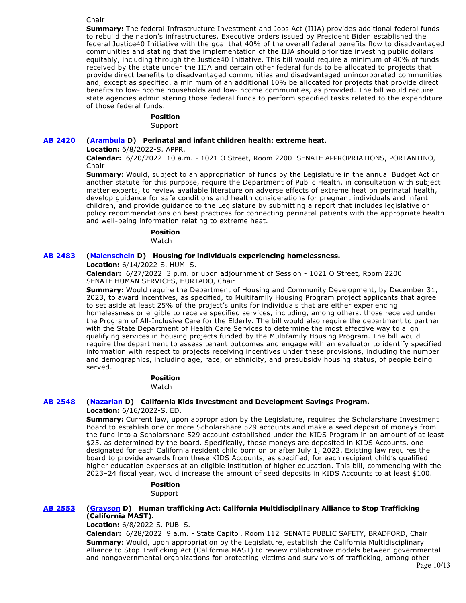#### Chair

**Summary:** The federal Infrastructure Investment and Jobs Act (IIJA) provides additional federal funds to rebuild the nation's infrastructures. Executive orders issued by President Biden established the federal Justice40 Initiative with the goal that 40% of the overall federal benefits flow to disadvantaged communities and stating that the implementation of the IIJA should prioritize investing public dollars equitably, including through the Justice40 Initiative. This bill would require a minimum of 40% of funds received by the state under the IIJA and certain other federal funds to be allocated to projects that provide direct benefits to disadvantaged communities and disadvantaged unincorporated communities and, except as specified, a minimum of an additional 10% be allocated for projects that provide direct benefits to low-income households and low-income communities, as provided. The bill would require state agencies administering those federal funds to perform specified tasks related to the expenditure of those federal funds.

### **Position**

Support

#### **[AB 2420](https://ctweb.capitoltrack.com/public/publishbillinfo.aspx?bi=oICQ%2FFgYItZLolaL2dRDXnfClKQLofva2wZPE9pvuqaKp6tjCi9Mk3wWwr3hpRlR) [\(Arambula](https://a31.asmdc.org/) D) Perinatal and infant children health: extreme heat.**

**Location:** 6/8/2022-S. APPR.

**Calendar:** 6/20/2022 10 a.m. - 1021 O Street, Room 2200 SENATE APPROPRIATIONS, PORTANTINO, Chair

**Summary:** Would, subject to an appropriation of funds by the Legislature in the annual Budget Act or another statute for this purpose, require the Department of Public Health, in consultation with subject matter experts, to review available literature on adverse effects of extreme heat on perinatal health, develop guidance for safe conditions and health considerations for pregnant individuals and infant children, and provide guidance to the Legislature by submitting a report that includes legislative or policy recommendations on best practices for connecting perinatal patients with the appropriate health and well-being information relating to extreme heat.

#### **Position**

Watch

# **[AB 2483](https://ctweb.capitoltrack.com/public/publishbillinfo.aspx?bi=D8ALISlvGWriTRFrh2c7xhf%2FvkYFV1T4CcvaFlaTPiwF%2Bwy2I%2FveD5vs1jcbsWSA) [\(Maienschein](https://a77.asmdc.org/) D) Housing for individuals experiencing homelessness.**

**Location:** 6/14/2022-S. HUM. S.

**Calendar:** 6/27/2022 3 p.m. or upon adjournment of Session - 1021 O Street, Room 2200 SENATE HUMAN SERVICES, HURTADO, Chair

**Summary:** Would require the Department of Housing and Community Development, by December 31, 2023, to award incentives, as specified, to Multifamily Housing Program project applicants that agree to set aside at least 25% of the project's units for individuals that are either experiencing homelessness or eligible to receive specified services, including, among others, those received under the Program of All-Inclusive Care for the Elderly. The bill would also require the department to partner with the State Department of Health Care Services to determine the most effective way to align qualifying services in housing projects funded by the Multifamily Housing Program. The bill would require the department to assess tenant outcomes and engage with an evaluator to identify specified information with respect to projects receiving incentives under these provisions, including the number and demographics, including age, race, or ethnicity, and presubsidy housing status, of people being served.

# **Position**

Watch

# **[AB 2548](https://ctweb.capitoltrack.com/public/publishbillinfo.aspx?bi=iMkIjM9XyZD32%2Fj6x%2BOY1WYrdSxHgUdGs5rif9yCx5R0v8NV34fz4PwFaHvRMvsx) [\(Nazarian](https://a46.asmdc.org/) D) California Kids Investment and Development Savings Program.**

**Location:** 6/16/2022-S. ED.

**Summary:** Current law, upon appropriation by the Legislature, requires the Scholarshare Investment Board to establish one or more Scholarshare 529 accounts and make a seed deposit of moneys from the fund into a Scholarshare 529 account established under the KIDS Program in an amount of at least \$25, as determined by the board. Specifically, those moneys are deposited in KIDS Accounts, one designated for each California resident child born on or after July 1, 2022. Existing law requires the board to provide awards from these KIDS Accounts, as specified, for each recipient child's qualified higher education expenses at an eligible institution of higher education. This bill, commencing with the 2023–24 fiscal year, would increase the amount of seed deposits in KIDS Accounts to at least \$100.

#### **Position**

Support

#### **[AB 2553](https://ctweb.capitoltrack.com/public/publishbillinfo.aspx?bi=JmcoXzoeJiXFLcZch5yigde%2Bcyy4elaRAQx8ZwBkxckV2qJ3VW3vVbh7hYI6INbe) [\(Grayson](https://a14.asmdc.org/) D) Human trafficking Act: California Multidisciplinary Alliance to Stop Trafficking (California MAST).**

**Location:** 6/8/2022-S. PUB. S.

**Calendar:** 6/28/2022 9 a.m. - State Capitol, Room 112 SENATE PUBLIC SAFETY, BRADFORD, Chair **Summary:** Would, upon appropriation by the Legislature, establish the California Multidisciplinary Alliance to Stop Trafficking Act (California MAST) to review collaborative models between governmental and nongovernmental organizations for protecting victims and survivors of trafficking, among other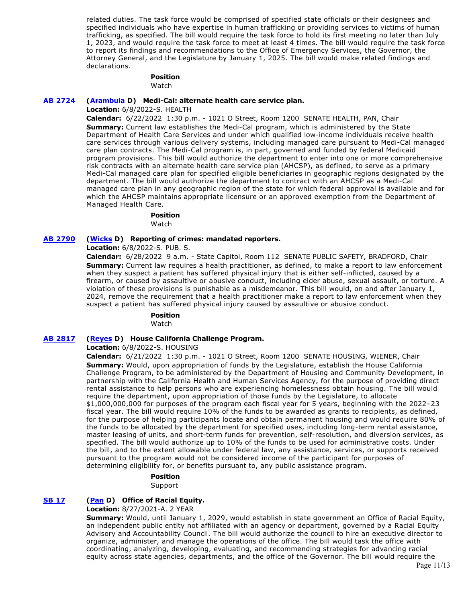related duties. The task force would be comprised of specified state officials or their designees and specified individuals who have expertise in human trafficking or providing services to victims of human trafficking, as specified. The bill would require the task force to hold its first meeting no later than July 1, 2023, and would require the task force to meet at least 4 times. The bill would require the task force to report its findings and recommendations to the Office of Emergency Services, the Governor, the Attorney General, and the Legislature by January 1, 2025. The bill would make related findings and declarations.

# **Position**

Watch

#### **[AB 2724](https://ctweb.capitoltrack.com/public/publishbillinfo.aspx?bi=87zZT%2BgcOhFNBkX00iCCDlRJesDpMdThi05DVxph1WMjt4wiQHTVchVtgdOI00s5) [\(Arambula](https://a31.asmdc.org/) D) Medi-Cal: alternate health care service plan.**

**Location:** 6/8/2022-S. HEALTH

**Calendar:** 6/22/2022 1:30 p.m. - 1021 O Street, Room 1200 SENATE HEALTH, PAN, Chair **Summary:** Current law establishes the Medi-Cal program, which is administered by the State Department of Health Care Services and under which qualified low-income individuals receive health care services through various delivery systems, including managed care pursuant to Medi-Cal managed care plan contracts. The Medi-Cal program is, in part, governed and funded by federal Medicaid program provisions. This bill would authorize the department to enter into one or more comprehensive risk contracts with an alternate health care service plan (AHCSP), as defined, to serve as a primary Medi-Cal managed care plan for specified eligible beneficiaries in geographic regions designated by the department. The bill would authorize the department to contract with an AHCSP as a Medi-Cal managed care plan in any geographic region of the state for which federal approval is available and for which the AHCSP maintains appropriate licensure or an approved exemption from the Department of Managed Health Care.

#### **Position**

Watch

### **[AB 2790](https://ctweb.capitoltrack.com/public/publishbillinfo.aspx?bi=P4TUcJAqOQtTe9urYCHllkqHIPl1nOdIWafRmkNWfaQS0LhsXTCO8MxgnN0hYG71) [\(Wicks](https://a15.asmdc.org/) D) Reporting of crimes: mandated reporters.**

**Location:** 6/8/2022-S. PUB. S.

**Calendar:** 6/28/2022 9 a.m. - State Capitol, Room 112 SENATE PUBLIC SAFETY, BRADFORD, Chair **Summary:** Current law requires a health practitioner, as defined, to make a report to law enforcement when they suspect a patient has suffered physical injury that is either self-inflicted, caused by a firearm, or caused by assaultive or abusive conduct, including elder abuse, sexual assault, or torture. A violation of these provisions is punishable as a misdemeanor. This bill would, on and after January 1, 2024, remove the requirement that a health practitioner make a report to law enforcement when they suspect a patient has suffered physical injury caused by assaultive or abusive conduct.

# **Position**

Watch

# **[AB 2817](https://ctweb.capitoltrack.com/public/publishbillinfo.aspx?bi=hwKgV%2F1%2FN24kMjcsGwSnxPZhiqX9z5uibXSeWtlVKi0qa71iVkAW943L7klR61v3) [\(Reyes](https://a47.asmdc.org/) D) House California Challenge Program.**

**Location:** 6/8/2022-S. HOUSING

**Calendar:** 6/21/2022 1:30 p.m. - 1021 O Street, Room 1200 SENATE HOUSING, WIENER, Chair **Summary:** Would, upon appropriation of funds by the Legislature, establish the House California Challenge Program, to be administered by the Department of Housing and Community Development, in partnership with the California Health and Human Services Agency, for the purpose of providing direct rental assistance to help persons who are experiencing homelessness obtain housing. The bill would require the department, upon appropriation of those funds by the Legislature, to allocate \$1,000,000,000 for purposes of the program each fiscal year for 5 years, beginning with the 2022–23 fiscal year. The bill would require 10% of the funds to be awarded as grants to recipients, as defined, for the purpose of helping participants locate and obtain permanent housing and would require 80% of the funds to be allocated by the department for specified uses, including long-term rental assistance, master leasing of units, and short-term funds for prevention, self-resolution, and diversion services, as specified. The bill would authorize up to 10% of the funds to be used for administrative costs. Under the bill, and to the extent allowable under federal law, any assistance, services, or supports received pursuant to the program would not be considered income of the participant for purposes of determining eligibility for, or benefits pursuant to, any public assistance program.

#### **Position**

Support

#### **[SB 17](https://ctweb.capitoltrack.com/public/publishbillinfo.aspx?bi=dBaE3CGJpiGexGpCGI9ZA9mGDSu3R3h8gdgNi5yyapMHbWZPikU1e7jTWnNDjpL9) [\(Pan](http://sd06.senate.ca.gov/) D) Office of Racial Equity.**

**Location:** 8/27/2021-A. 2 YEAR

**Summary:** Would, until January 1, 2029, would establish in state government an Office of Racial Equity, an independent public entity not affiliated with an agency or department, governed by a Racial Equity Advisory and Accountability Council. The bill would authorize the council to hire an executive director to organize, administer, and manage the operations of the office. The bill would task the office with coordinating, analyzing, developing, evaluating, and recommending strategies for advancing racial equity across state agencies, departments, and the office of the Governor. The bill would require the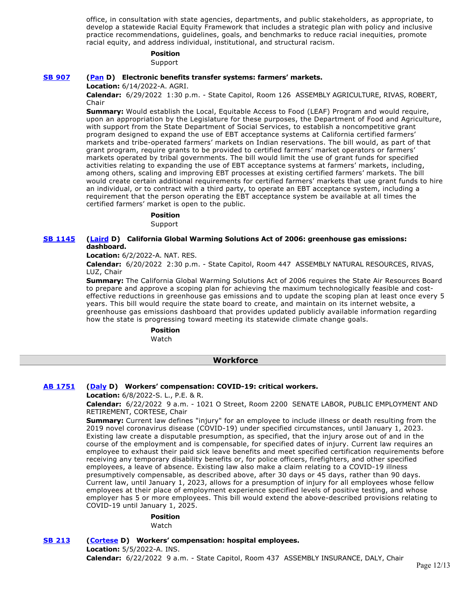office, in consultation with state agencies, departments, and public stakeholders, as appropriate, to develop a statewide Racial Equity Framework that includes a strategic plan with policy and inclusive practice recommendations, guidelines, goals, and benchmarks to reduce racial inequities, promote racial equity, and address individual, institutional, and structural racism.

#### **Position**

Support

# **[SB 907](https://ctweb.capitoltrack.com/public/publishbillinfo.aspx?bi=nIx6X2crzmFr0TWxcYW%2B9kpY%2B5Vcf%2FQzpoT2zOu%2Bk6kh9IF0klsUId4YkFjXzovS) [\(Pan](http://sd06.senate.ca.gov/) D) Electronic benefits transfer systems: farmers' markets.**

**Location:** 6/14/2022-A. AGRI.

**Calendar:** 6/29/2022 1:30 p.m. - State Capitol, Room 126 ASSEMBLY AGRICULTURE, RIVAS, ROBERT, Chair

**Summary:** Would establish the Local, Equitable Access to Food (LEAF) Program and would require, upon an appropriation by the Legislature for these purposes, the Department of Food and Agriculture, with support from the State Department of Social Services, to establish a noncompetitive grant program designed to expand the use of EBT acceptance systems at California certified farmers' markets and tribe-operated farmers' markets on Indian reservations. The bill would, as part of that grant program, require grants to be provided to certified farmers' market operators or farmers' markets operated by tribal governments. The bill would limit the use of grant funds for specified activities relating to expanding the use of EBT acceptance systems at farmers' markets, including, among others, scaling and improving EBT processes at existing certified farmers' markets. The bill would create certain additional requirements for certified farmers' markets that use grant funds to hire an individual, or to contract with a third party, to operate an EBT acceptance system, including a requirement that the person operating the EBT acceptance system be available at all times the certified farmers' market is open to the public.

#### **Position**

Support

#### **[SB 1145](https://ctweb.capitoltrack.com/public/publishbillinfo.aspx?bi=5bzl2laO8eaLVynAoipXd6DEb1R0i1ymTfYAOJFquQIUeXqH2qj4JDhx%2FCtjeci1) [\(Laird](http://sd17.senate.ca.gov/) D) California Global Warming Solutions Act of 2006: greenhouse gas emissions: dashboard.**

**Location:** 6/2/2022-A. NAT. RES.

**Calendar:** 6/20/2022 2:30 p.m. - State Capitol, Room 447 ASSEMBLY NATURAL RESOURCES, RIVAS, LUZ, Chair

**Summary:** The California Global Warming Solutions Act of 2006 requires the State Air Resources Board to prepare and approve a scoping plan for achieving the maximum technologically feasible and costeffective reductions in greenhouse gas emissions and to update the scoping plan at least once every 5 years. This bill would require the state board to create, and maintain on its internet website, a greenhouse gas emissions dashboard that provides updated publicly available information regarding how the state is progressing toward meeting its statewide climate change goals.

# **Position**

Watch

### **Workforce**

#### **[AB 1751](https://ctweb.capitoltrack.com/public/publishbillinfo.aspx?bi=E2AiVAV0Fz5SWZOJ894eWUXnDKSbPBa0J89LOTpke82YEydZY2uxMdIB45A6iigS) [\(Daly](https://a69.asmdc.org/) D) Workers' compensation: COVID-19: critical workers.**

**Location:** 6/8/2022-S. L., P.E. & R.

**Calendar:** 6/22/2022 9 a.m. - 1021 O Street, Room 2200 SENATE LABOR, PUBLIC EMPLOYMENT AND RETIREMENT, CORTESE, Chair

**Summary:** Current law defines "injury" for an employee to include illness or death resulting from the 2019 novel coronavirus disease (COVID-19) under specified circumstances, until January 1, 2023. Existing law create a disputable presumption, as specified, that the injury arose out of and in the course of the employment and is compensable, for specified dates of injury. Current law requires an employee to exhaust their paid sick leave benefits and meet specified certification requirements before receiving any temporary disability benefits or, for police officers, firefighters, and other specified employees, a leave of absence. Existing law also make a claim relating to a COVID-19 illness presumptively compensable, as described above, after 30 days or 45 days, rather than 90 days. Current law, until January 1, 2023, allows for a presumption of injury for all employees whose fellow employees at their place of employment experience specified levels of positive testing, and whose employer has 5 or more employees. This bill would extend the above-described provisions relating to COVID-19 until January 1, 2025.

# **Position**

Watch

**[SB 213](https://ctweb.capitoltrack.com/public/publishbillinfo.aspx?bi=MPep2hI4up1g9O%2FHEGq2WDTaqBPBzGAgCK%2BHLl8F0rdHanguhIKBV66HdB8TsKqx) [\(Cortese](http://sd15.senate.ca.gov/) D) Workers' compensation: hospital employees. Location:** 5/5/2022-A. INS.

**Calendar:** 6/22/2022 9 a.m. - State Capitol, Room 437 ASSEMBLY INSURANCE, DALY, Chair